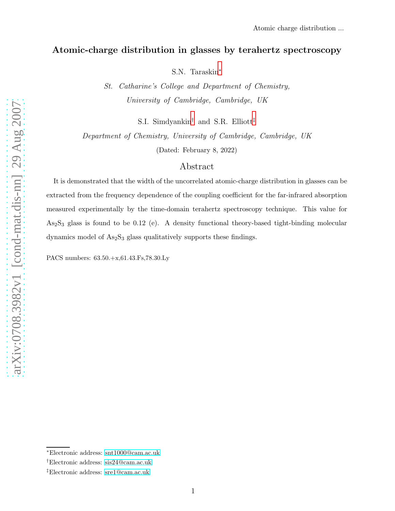# Atomic-charge distribution in glasses by terahertz spectroscopy

S.N. Taraskin[∗](#page-0-0)

St. Catharine's College and Department of Chemistry, University of Cambridge, Cambridge, UK

S.I. Simdyankin[†](#page-0-1) and S.R. Elliott[‡](#page-0-2)

Department of Chemistry, University of Cambridge, Cambridge, UK (Dated: February 8, 2022)

## Abstract

It is demonstrated that the width of the uncorrelated atomic-charge distribution in glasses can be extracted from the frequency dependence of the coupling coefficient for the far-infrared absorption measured experimentally by the time-domain terahertz spectroscopy technique. This value for  $As<sub>2</sub>S<sub>3</sub>$  glass is found to be 0.12 (e). A density functional theory-based tight-binding molecular dynamics model of  $As_2S_3$  glass qualitatively supports these findings.

PACS numbers: 63.50.+x,61.43.Fs,78.30.Ly

<span id="page-0-0"></span><sup>∗</sup>Electronic address: [snt1000@cam.ac.uk](mailto:snt1000@cam.ac.uk)

<span id="page-0-2"></span><span id="page-0-1"></span><sup>†</sup>Electronic address: [sis24@cam.ac.uk](mailto:sis24@cam.ac.uk)

<sup>‡</sup>Electronic address: [sre1@cam.ac.uk](mailto:sre1@cam.ac.uk)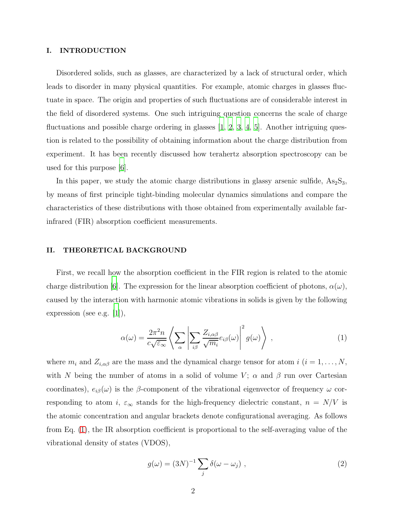### I. INTRODUCTION

Disordered solids, such as glasses, are characterized by a lack of structural order, which leads to disorder in many physical quantities. For example, atomic charges in glasses fluctuate in space. The origin and properties of such fluctuations are of considerable interest in the field of disordered systems. One such intriguing question concerns the scale of charge fluctuations and possible charge ordering in glasses  $[1, 2, 3, 4, 5]$  $[1, 2, 3, 4, 5]$  $[1, 2, 3, 4, 5]$  $[1, 2, 3, 4, 5]$  $[1, 2, 3, 4, 5]$  $[1, 2, 3, 4, 5]$ . Another intriguing question is related to the possibility of obtaining information about the charge distribution from experiment. It has been recently discussed how terahertz absorption spectroscopy can be used for this purpose [\[6](#page-8-2)].

In this paper, we study the atomic charge distributions in glassy arsenic sulfide,  $\text{As}_2\text{S}_3$ , by means of first principle tight-binding molecular dynamics simulations and compare the characteristics of these distributions with those obtained from experimentally available farinfrared (FIR) absorption coefficient measurements.

## II. THEORETICAL BACKGROUND

First, we recall how the absorption coefficient in the FIR region is related to the atomic charge distribution [\[6](#page-8-2)]. The expression for the linear absorption coefficient of photons,  $\alpha(\omega)$ , caused by the interaction with harmonic atomic vibrations in solids is given by the following expression (see e.g. [\[1\]](#page-7-0)),

<span id="page-1-0"></span>
$$
\alpha(\omega) = \frac{2\pi^2 n}{c\sqrt{\varepsilon_\infty}} \left\langle \sum_{\alpha} \left| \sum_{i\beta} \frac{Z_{i,\alpha\beta}}{\sqrt{m_i}} e_{i\beta}(\omega) \right|^2 g(\omega) \right\rangle , \qquad (1)
$$

where  $m_i$  and  $Z_{i,\alpha\beta}$  are the mass and the dynamical charge tensor for atom  $i$  ( $i = 1, ..., N$ , with N being the number of atoms in a solid of volume V;  $\alpha$  and  $\beta$  run over Cartesian coordinates),  $e_{i\beta}(\omega)$  is the β-component of the vibrational eigenvector of frequency  $\omega$  corresponding to atom i,  $\varepsilon_{\infty}$  stands for the high-frequency dielectric constant,  $n = N/V$  is the atomic concentration and angular brackets denote configurational averaging. As follows from Eq. [\(1\)](#page-1-0), the IR absorption coefficient is proportional to the self-averaging value of the vibrational density of states (VDOS),

$$
g(\omega) = (3N)^{-1} \sum_{j} \delta(\omega - \omega_j) , \qquad (2)
$$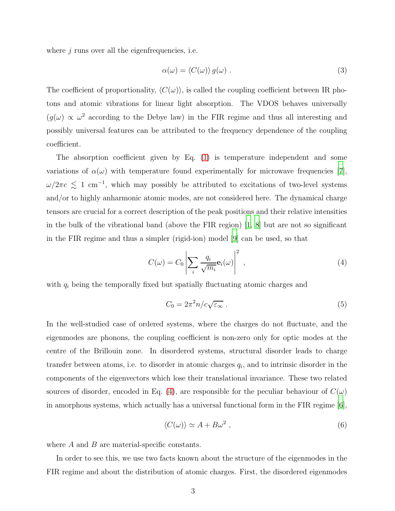where  $j$  runs over all the eigenfrequencies, i.e.

$$
\alpha(\omega) = \langle C(\omega) \rangle g(\omega) . \tag{3}
$$

The coefficient of proportionality,  $\langle C(\omega) \rangle$ , is called the coupling coefficient between IR photons and atomic vibrations for linear light absorption. The VDOS behaves universally  $(g(\omega) \propto \omega^2)$  according to the Debye law) in the FIR regime and thus all interesting and possibly universal features can be attributed to the frequency dependence of the coupling coefficient.

The absorption coefficient given by Eq. [\(1\)](#page-1-0) is temperature independent and some variations of  $\alpha(\omega)$  with temperature found experimentally for microwave frequencies [\[7\]](#page-8-3),  $\omega/2\pi c \lesssim 1$  cm<sup>-1</sup>, which may possibly be attributed to excitations of two-level systems and/or to highly anharmonic atomic modes, are not considered here. The dynamical charge tensors are crucial for a correct description of the peak positions and their relative intensities in the bulk of the vibrational band (above the FIR region)  $\vert 1, 8 \vert$  but are not so significant in the FIR regime and thus a simpler (rigid-ion) model [\[9](#page-8-5)] can be used, so that

<span id="page-2-0"></span>
$$
C(\omega) = C_0 \left| \sum_i \frac{q_i}{\sqrt{m_i}} \mathbf{e}_i(\omega) \right|^2 , \qquad (4)
$$

with  $q_i$  being the temporally fixed but spatially fluctuating atomic charges and

<span id="page-2-2"></span>
$$
C_0 = 2\pi^2 n/c\sqrt{\varepsilon_\infty} \ . \tag{5}
$$

In the well-studied case of ordered systems, where the charges do not fluctuate, and the eigenmodes are phonons, the coupling coefficient is non-zero only for optic modes at the centre of the Brillouin zone. In disordered systems, structural disorder leads to charge transfer between atoms, i.e. to disorder in atomic charges  $q_i$ , and to intrinsic disorder in the components of the eigenvectors which lose their translational invariance. These two related sources of disorder, encoded in Eq. [\(4\)](#page-2-0), are responsible for the peculiar behaviour of  $C(\omega)$ in amorphous systems, which actually has a universal functional form in the FIR regime  $|6|$ ,

<span id="page-2-1"></span>
$$
\langle C(\omega) \rangle \simeq A + B\omega^2 \;, \tag{6}
$$

where  $A$  and  $B$  are material-specific constants.

In order to see this, we use two facts known about the structure of the eigenmodes in the FIR regime and about the distribution of atomic charges. First, the disordered eigenmodes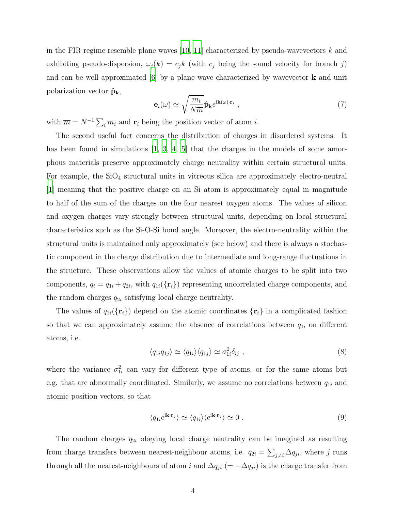in the FIR regime resemble plane waves [\[10,](#page-8-6) [11](#page-8-7)] characterized by pseudo-wavevectors k and exhibiting pseudo-dispersion,  $\omega_j(k) = c_j k$  (with  $c_j$  being the sound velocity for branch j) and can be well approximated  $[6]$  by a plane wave characterized by wavevector **k** and unit polarization vector  $\hat{\mathbf{p}}_{\mathbf{k}}$ ,

$$
\mathbf{e}_{i}(\omega) \simeq \sqrt{\frac{m_{i}}{N\overline{m}}}\hat{\mathbf{p}}_{\mathbf{k}}e^{\mathrm{i}\mathbf{k}(\omega)\cdot\mathbf{r}_{i}} , \qquad (7)
$$

with  $\overline{m} = N^{-1} \sum_i m_i$  and  $\mathbf{r}_i$  being the position vector of atom *i*.

The second useful fact concerns the distribution of charges in disordered systems. It has been found in simulations [\[1,](#page-7-0) [3](#page-7-2), [4,](#page-8-0) [5](#page-8-1)] that the charges in the models of some amorphous materials preserve approximately charge neutrality within certain structural units. For example, the  $SiO<sub>4</sub>$  structural units in vitreous silica are approximately electro-neutral [\[1](#page-7-0)] meaning that the positive charge on an Si atom is approximately equal in magnitude to half of the sum of the charges on the four nearest oxygen atoms. The values of silicon and oxygen charges vary strongly between structural units, depending on local structural characteristics such as the Si-O-Si bond angle. Moreover, the electro-neutrality within the structural units is maintained only approximately (see below) and there is always a stochastic component in the charge distribution due to intermediate and long-range fluctuations in the structure. These observations allow the values of atomic charges to be split into two components,  $q_i = q_{1i} + q_{2i}$ , with  $q_{1i}(\{r_i\})$  representing uncorrelated charge components, and the random charges  $q_{2i}$  satisfying local charge neutrality.

The values of  $q_{1i}(\{r_i\})$  depend on the atomic coordinates  $\{r_i\}$  in a complicated fashion so that we can approximately assume the absence of correlations between  $q_{1i}$  on different atoms, i.e.

<span id="page-3-0"></span>
$$
\langle q_{1i}q_{1j}\rangle \simeq \langle q_{1i}\rangle \langle q_{1j}\rangle \simeq \sigma_{1i}^2 \delta_{ij} , \qquad (8)
$$

where the variance  $\sigma_{1i}^2$  can vary for different type of atoms, or for the same atoms but e.g. that are abnormally coordinated. Similarly, we assume no correlations between  $q_{1i}$  and atomic position vectors, so that

<span id="page-3-1"></span>
$$
\langle q_{1i}e^{i\mathbf{k}\cdot\mathbf{r}_j}\rangle \simeq \langle q_{1i}\rangle \langle e^{i\mathbf{k}\cdot\mathbf{r}_j}\rangle \simeq 0.
$$
 (9)

The random charges  $q_{2i}$  obeying local charge neutrality can be imagined as resulting from charge transfers between nearest-neighbour atoms, i.e.  $q_{2i} = \sum_{j \neq i} \Delta q_{ji}$ , where j runs through all the nearest-neighbours of atom i and  $\Delta q_{ji}$  (=  $-\Delta q_{ji}$ ) is the charge transfer from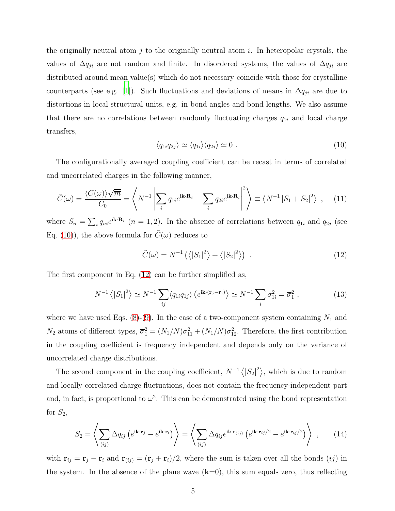the originally neutral atom j to the originally neutral atom i. In heteropolar crystals, the values of  $\Delta q_{ji}$  are not random and finite. In disordered systems, the values of  $\Delta q_{ji}$  are distributed around mean value(s) which do not necessary coincide with those for crystalline counterparts (see e.g. [\[1\]](#page-7-0)). Such fluctuations and deviations of means in  $\Delta q_{ji}$  are due to distortions in local structural units, e.g. in bond angles and bond lengths. We also assume that there are no correlations between randomly fluctuating charges  $q_{1i}$  and local charge transfers,

<span id="page-4-0"></span>
$$
\langle q_{1i}q_{2j}\rangle \simeq \langle q_{1i}\rangle \langle q_{2j}\rangle \simeq 0. \tag{10}
$$

The configurationally averaged coupling coefficient can be recast in terms of correlated and uncorrelated charges in the following manner,

$$
\tilde{C}(\omega) = \frac{\langle C(\omega) \rangle \sqrt{\overline{m}}}{C_0} = \left\langle N^{-1} \left| \sum_i q_{1i} e^{i\mathbf{k} \cdot \mathbf{R}_i} + \sum_i q_{2i} e^{i\mathbf{k} \cdot \mathbf{R}_i} \right|^2 \right\rangle \equiv \left\langle N^{-1} \left| S_1 + S_2 \right|^2 \right\rangle , \quad (11)
$$

where  $S_n = \sum_i q_{ni}e^{i\mathbf{k}\cdot\mathbf{R}_i}$  ( $n = 1, 2$ ). In the absence of correlations between  $q_{1i}$  and  $q_{2j}$  (see Eq. [\(10\)](#page-4-0)), the above formula for  $C(\omega)$  reduces to

<span id="page-4-1"></span>
$$
\tilde{C}(\omega) = N^{-1} \left( \left\langle |S_1|^2 \right\rangle + \left\langle |S_2|^2 \right\rangle \right) \tag{12}
$$

The first component in Eq. [\(12\)](#page-4-1) can be further simplified as,

$$
N^{-1}\left\langle |S_1|^2 \right\rangle \simeq N^{-1} \sum_{ij} \left\langle q_{1i} q_{1j} \right\rangle \left\langle e^{i\mathbf{k} \cdot (\mathbf{r}_j - \mathbf{r}_i)} \right\rangle \simeq N^{-1} \sum_i \sigma_{1i}^2 = \overline{\sigma}_1^2 \,, \tag{13}
$$

where we have used Eqs.  $(8)-(9)$  $(8)-(9)$ . In the case of a two-component system containing  $N_1$  and  $N_2$  atoms of different types,  $\overline{\sigma}_1^2 = (N_1/N)\sigma_{11}^2 + (N_1/N)\sigma_{12}^2$ . Therefore, the first contribution in the coupling coefficient is frequency independent and depends only on the variance of uncorrelated charge distributions.

The second component in the coupling coefficient,  $N^{-1} \langle |S_2|^2 \rangle$ , which is due to random and locally correlated charge fluctuations, does not contain the frequency-independent part and, in fact, is proportional to  $\omega^2$ . This can be demonstrated using the bond representation for  $S_2$ ,

<span id="page-4-2"></span>
$$
S_2 = \left\langle \sum_{(ij)} \Delta q_{ij} \left( e^{i\mathbf{k} \cdot \mathbf{r}_j} - e^{i\mathbf{k} \cdot \mathbf{r}_i} \right) \right\rangle = \left\langle \sum_{(ij)} \Delta q_{ij} e^{i\mathbf{k} \cdot \mathbf{r}_{(ij)}} \left( e^{i\mathbf{k} \cdot \mathbf{r}_{ij}/2} - e^{i\mathbf{k} \cdot \mathbf{r}_{ij}/2} \right) \right\rangle , \qquad (14)
$$

with  $\mathbf{r}_{ij} = \mathbf{r}_j - \mathbf{r}_i$  and  $\mathbf{r}_{(ij)} = (\mathbf{r}_j + \mathbf{r}_i)/2$ , where the sum is taken over all the bonds  $(ij)$  in the system. In the absence of the plane wave  $(k=0)$ , this sum equals zero, thus reflecting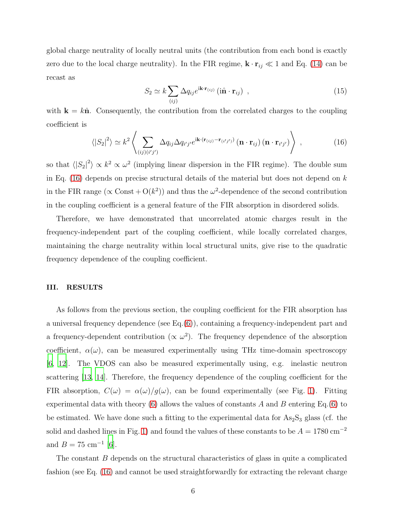global charge neutrality of locally neutral units (the contribution from each bond is exactly zero due to the local charge neutrality). In the FIR regime,  $\mathbf{k} \cdot \mathbf{r}_{ij} \ll 1$  and Eq. [\(14\)](#page-4-2) can be recast as

$$
S_2 \simeq k \sum_{(ij)} \Delta q_{ij} e^{i\mathbf{k} \cdot \mathbf{r}_{(ij)}} \left( i\hat{\mathbf{n}} \cdot \mathbf{r}_{ij} \right) , \qquad (15)
$$

with  $\mathbf{k} = k\hat{\mathbf{n}}$ . Consequently, the contribution from the correlated charges to the coupling coefficient is

<span id="page-5-0"></span>
$$
\langle |S_2|^2 \rangle \simeq k^2 \left\langle \sum_{(ij)(i'j')} \Delta q_{ij} \Delta q_{i'j'} e^{i\mathbf{k} \cdot (\mathbf{r}_{(ij)} - \mathbf{r}_{(i'j')}} (\mathbf{n} \cdot \mathbf{r}_{ij}) (\mathbf{n} \cdot \mathbf{r}_{i'j'}) \right\rangle , \qquad (16)
$$

so that  $\langle |S_2|^2 \rangle \propto k^2 \propto \omega^2$  (implying linear dispersion in the FIR regime). The double sum in Eq. [\(16\)](#page-5-0) depends on precise structural details of the material but does not depend on  $k$ in the FIR range ( $\propto$  Const + O( $k^2$ )) and thus the  $\omega^2$ -dependence of the second contribution in the coupling coefficient is a general feature of the FIR absorption in disordered solids.

Therefore, we have demonstrated that uncorrelated atomic charges result in the frequency-independent part of the coupling coefficient, while locally correlated charges, maintaining the charge neutrality within local structural units, give rise to the quadratic frequency dependence of the coupling coefficient.

## III. RESULTS

As follows from the previous section, the coupling coefficient for the FIR absorption has a universal frequency dependence (see Eq.[\(6\)](#page-2-1)), containing a frequency-independent part and a frequency-dependent contribution ( $\propto \omega^2$ ). The frequency dependence of the absorption coefficient,  $\alpha(\omega)$ , can be measured experimentally using THz time-domain spectroscopy [\[6](#page-8-2), [12](#page-8-8)]. The VDOS can also be measured experimentally using, e.g. inelastic neutron scattering [\[13](#page-9-0), [14\]](#page-9-1). Therefore, the frequency dependence of the coupling coefficient for the FIR absorption,  $C(\omega) = \alpha(\omega)/g(\omega)$ , can be found experimentally (see Fig. [1\)](#page-7-3). Fitting experimental data with theory [\(6\)](#page-2-1) allows the values of constants  $A$  and  $B$  entering Eq.[\(6\)](#page-2-1) to be estimated. We have done such a fitting to the experimental data for  $As_2S_3$  glass (cf. the solid and dashed lines in Fig. [1\)](#page-7-3) and found the values of these constants to be  $A = 1780 \text{ cm}^{-2}$ and  $B = 75$  cm<sup>-1</sup> [\[6\]](#page-8-2).

The constant B depends on the structural characteristics of glass in quite a complicated fashion (see Eq. [\(16\)](#page-5-0) and cannot be used straightforwardly for extracting the relevant charge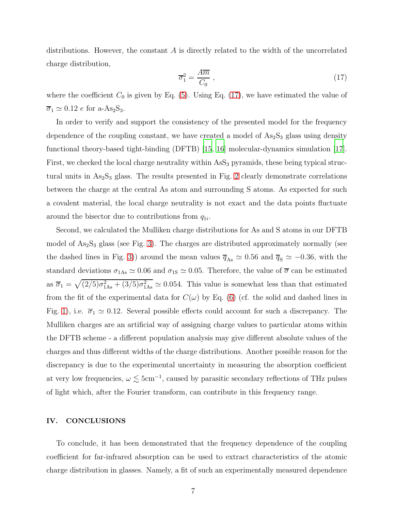distributions. However, the constant  $A$  is directly related to the width of the uncorrelated charge distribution,

<span id="page-6-0"></span>
$$
\overline{\sigma}_1^2 = \frac{A\overline{m}}{C_0} \,,\tag{17}
$$

where the coefficient  $C_0$  is given by Eq. [\(5\)](#page-2-2). Using Eq. [\(17\)](#page-6-0), we have estimated the value of  $\overline{\sigma}_1 \simeq 0.12$  e for a-As<sub>2</sub>S<sub>3</sub>.

In order to verify and support the consistency of the presented model for the frequency dependence of the coupling constant, we have created a model of  $As<sub>2</sub>S<sub>3</sub>$  glass using density functional theory-based tight-binding (DFTB) [\[15](#page-9-2), [16](#page-9-3)] molecular-dynamics simulation [\[17\]](#page-9-4). First, we checked the local charge neutrality within  $\text{AsS}_3$  pyramids, these being typical structural units in  $As_2S_3$  glass. The results presented in Fig. [2](#page-8-9) clearly demonstrate correlations between the charge at the central As atom and surrounding S atoms. As expected for such a covalent material, the local charge neutrality is not exact and the data points fluctuate around the bisector due to contributions from  $q_{1i}$ .

Second, we calculated the Mulliken charge distributions for As and S atoms in our DFTB model of  $As_2S_3$  glass (see Fig. [3\)](#page-9-5). The charges are distributed approximately normally (see the dashed lines in Fig. [3\)](#page-9-5)) around the mean values  $\overline{q}_{\text{As}} \approx 0.56$  and  $\overline{q}_{\text{S}} \approx -0.36$ , with the standard deviations  $\sigma_{1As} \simeq 0.06$  and  $\sigma_{1S} \simeq 0.05$ . Therefore, the value of  $\overline{\sigma}$  can be estimated as  $\overline{\sigma}_1 = \sqrt{(2/5)\sigma_{1As}^2 + (3/5)\sigma_{1As}^2} \simeq 0.054$ . This value is somewhat less than that estimated from the fit of the experimental data for  $C(\omega)$  by Eq. [\(6\)](#page-2-1) (cf. the solid and dashed lines in Fig. [1\)](#page-7-3), i.e.  $\overline{\sigma}_1 \simeq 0.12$ . Several possible effects could account for such a discrepancy. The Mulliken charges are an artificial way of assigning charge values to particular atoms within the DFTB scheme - a different population analysis may give different absolute values of the charges and thus different widths of the charge distributions. Another possible reason for the discrepancy is due to the experimental uncertainty in measuring the absorption coefficient at very low frequencies,  $\omega \lesssim 5 \text{cm}^{-1}$ , caused by parasitic secondary reflections of THz pulses of light which, after the Fourier transform, can contribute in this frequency range.

### IV. CONCLUSIONS

To conclude, it has been demonstrated that the frequency dependence of the coupling coefficient for far-infrared absorption can be used to extract characteristics of the atomic charge distribution in glasses. Namely, a fit of such an experimentally measured dependence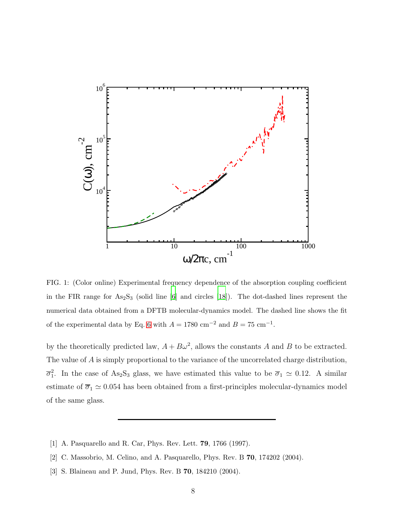

<span id="page-7-3"></span>FIG. 1: (Color online) Experimental frequency dependence of the absorption coupling coefficient in the FIR range for  $\text{As}_2\text{S}_3$  (solid line [\[6](#page-8-2)] and circles [\[18\]](#page-9-6)). The dot-dashed lines represent the numerical data obtained from a DFTB molecular-dynamics model. The dashed line shows the fit of the experimental data by Eq. [6](#page-2-1) with  $A = 1780$  cm<sup>-2</sup> and  $B = 75$  cm<sup>-1</sup>.

by the theoretically predicted law,  $A + B\omega^2$ , allows the constants A and B to be extracted. The value of A is simply proportional to the variance of the uncorrelated charge distribution,  $\overline{\sigma}_1^2$ . In the case of As<sub>2</sub>S<sub>3</sub> glass, we have estimated this value to be  $\overline{\sigma}_1 \simeq 0.12$ . A similar estimate of  $\overline{\sigma}_1 \simeq 0.054$  has been obtained from a first-principles molecular-dynamics model of the same glass.

- <span id="page-7-0"></span>[1] A. Pasquarello and R. Car, Phys. Rev. Lett. 79, 1766 (1997).
- <span id="page-7-1"></span>[2] C. Massobrio, M. Celino, and A. Pasquarello, Phys. Rev. B 70, 174202 (2004).
- <span id="page-7-2"></span>[3] S. Blaineau and P. Jund, Phys. Rev. B 70, 184210 (2004).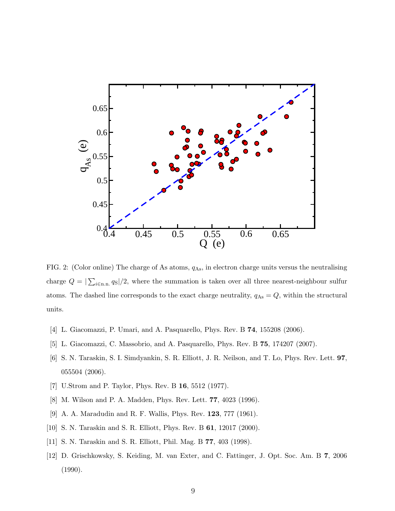

<span id="page-8-9"></span>FIG. 2: (Color online) The charge of As atoms,  $q_{\text{As}}$ , in electron charge units versus the neutralising charge  $Q = |\sum_{i \in \text{n.n.}} q_{\text{S}}|/2$ , where the summation is taken over all three nearest-neighbour sulfur atoms. The dashed line corresponds to the exact charge neutrality,  $q_{\text{As}} = Q$ , within the structural units.

- <span id="page-8-0"></span>[4] L. Giacomazzi, P. Umari, and A. Pasquarello, Phys. Rev. B 74, 155208 (2006).
- <span id="page-8-1"></span>[5] L. Giacomazzi, C. Massobrio, and A. Pasquarello, Phys. Rev. B 75, 174207 (2007).
- <span id="page-8-2"></span>[6] S. N. Taraskin, S. I. Simdyankin, S. R. Elliott, J. R. Neilson, and T. Lo, Phys. Rev. Lett. 97, 055504 (2006).
- <span id="page-8-3"></span>[7] U.Strom and P. Taylor, Phys. Rev. B 16, 5512 (1977).
- <span id="page-8-4"></span>[8] M. Wilson and P. A. Madden, Phys. Rev. Lett. 77, 4023 (1996).
- <span id="page-8-5"></span>[9] A. A. Maradudin and R. F. Wallis, Phys. Rev. 123, 777 (1961).
- <span id="page-8-6"></span>[10] S. N. Taraskin and S. R. Elliott, Phys. Rev. B 61, 12017 (2000).
- <span id="page-8-7"></span>[11] S. N. Taraskin and S. R. Elliott, Phil. Mag. B 77, 403 (1998).
- <span id="page-8-8"></span>[12] D. Grischkowsky, S. Keiding, M. van Exter, and C. Fattinger, J. Opt. Soc. Am. B 7, 2006 (1990).